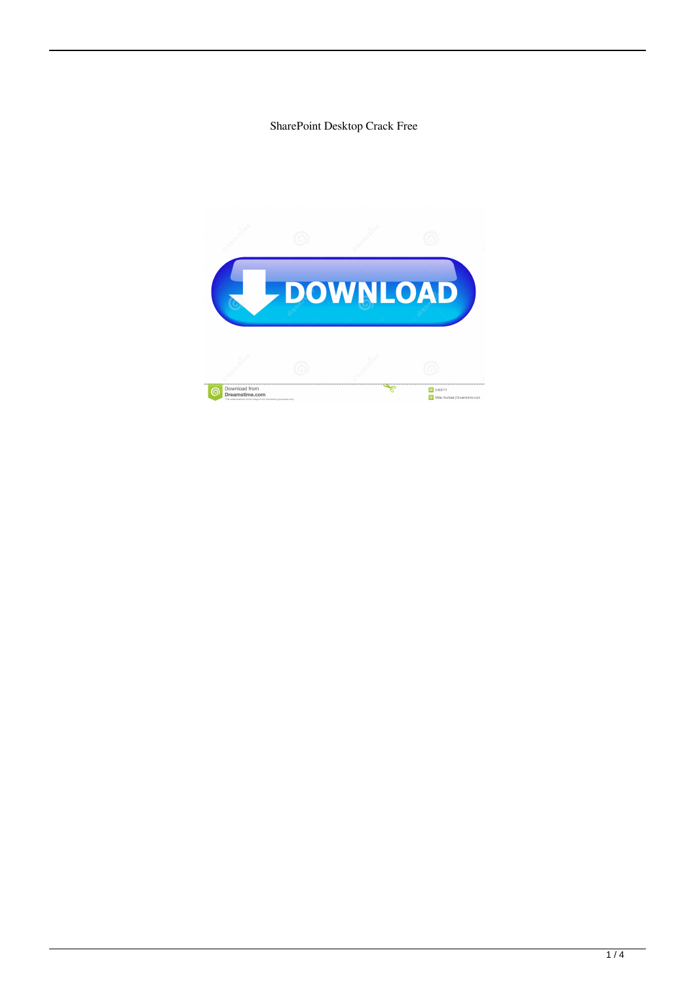SharePoint Desktop Crack Free

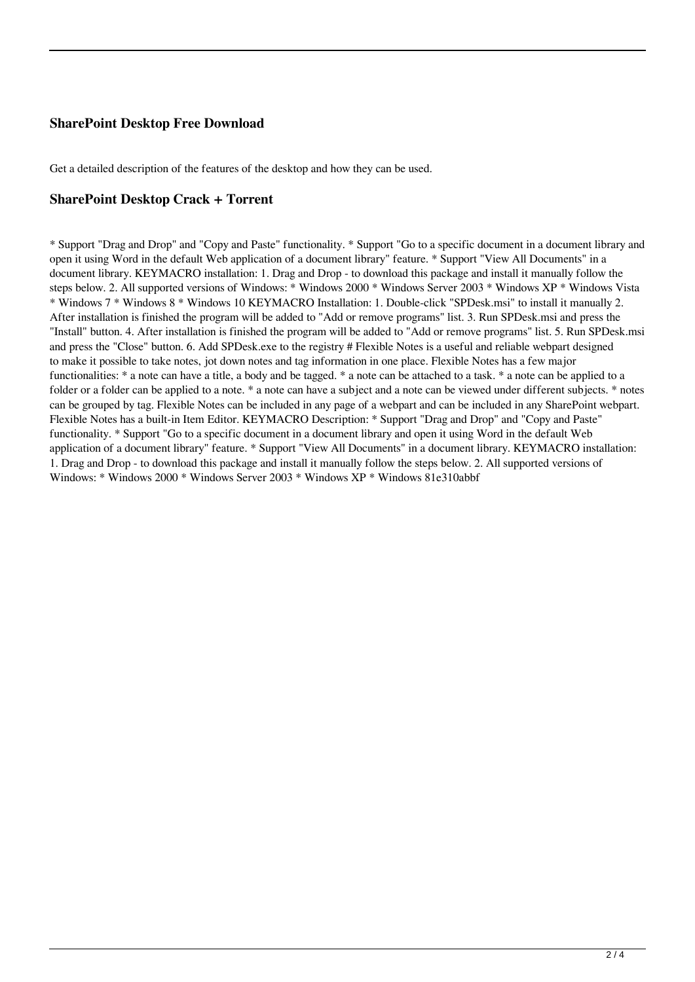## **SharePoint Desktop Free Download**

Get a detailed description of the features of the desktop and how they can be used.

#### **SharePoint Desktop Crack + Torrent**

\* Support "Drag and Drop" and "Copy and Paste" functionality. \* Support "Go to a specific document in a document library and open it using Word in the default Web application of a document library" feature. \* Support "View All Documents" in a document library. KEYMACRO installation: 1. Drag and Drop - to download this package and install it manually follow the steps below. 2. All supported versions of Windows: \* Windows 2000 \* Windows Server 2003 \* Windows XP \* Windows Vista \* Windows 7 \* Windows 8 \* Windows 10 KEYMACRO Installation: 1. Double-click "SPDesk.msi" to install it manually 2. After installation is finished the program will be added to "Add or remove programs" list. 3. Run SPDesk.msi and press the "Install" button. 4. After installation is finished the program will be added to "Add or remove programs" list. 5. Run SPDesk.msi and press the "Close" button. 6. Add SPDesk.exe to the registry # Flexible Notes is a useful and reliable webpart designed to make it possible to take notes, jot down notes and tag information in one place. Flexible Notes has a few major functionalities: \* a note can have a title, a body and be tagged. \* a note can be attached to a task. \* a note can be applied to a folder or a folder can be applied to a note. \* a note can have a subject and a note can be viewed under different subjects. \* notes can be grouped by tag. Flexible Notes can be included in any page of a webpart and can be included in any SharePoint webpart. Flexible Notes has a built-in Item Editor. KEYMACRO Description: \* Support "Drag and Drop" and "Copy and Paste" functionality. \* Support "Go to a specific document in a document library and open it using Word in the default Web application of a document library" feature. \* Support "View All Documents" in a document library. KEYMACRO installation: 1. Drag and Drop - to download this package and install it manually follow the steps below. 2. All supported versions of Windows: \* Windows 2000 \* Windows Server 2003 \* Windows XP \* Windows 81e310abbf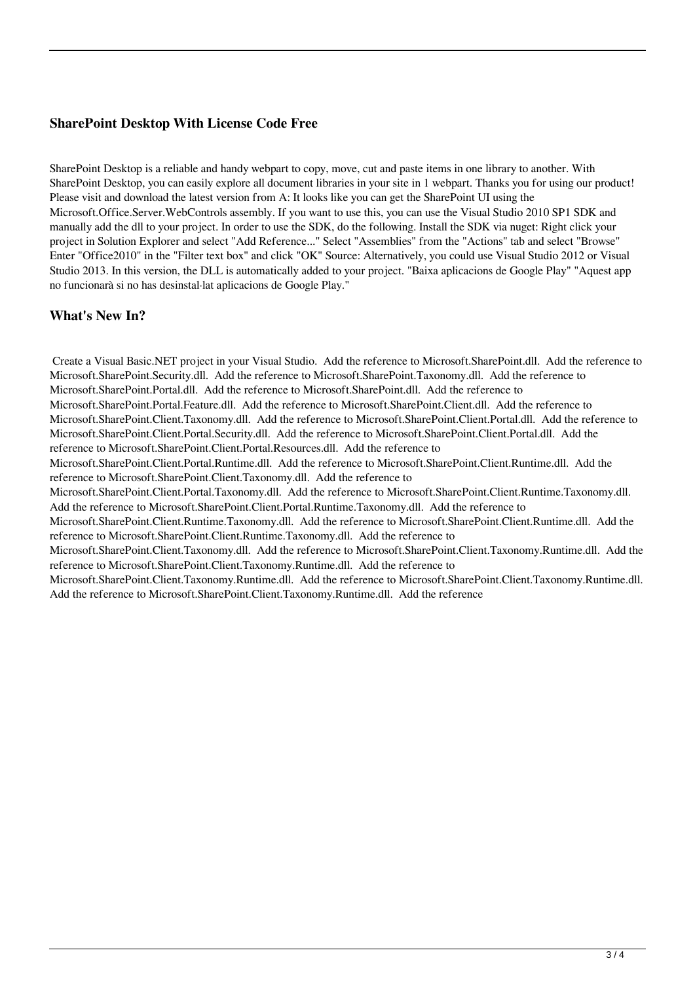## **SharePoint Desktop With License Code Free**

SharePoint Desktop is a reliable and handy webpart to copy, move, cut and paste items in one library to another. With SharePoint Desktop, you can easily explore all document libraries in your site in 1 webpart. Thanks you for using our product! Please visit and download the latest version from A: It looks like you can get the SharePoint UI using the Microsoft.Office.Server.WebControls assembly. If you want to use this, you can use the Visual Studio 2010 SP1 SDK and manually add the dll to your project. In order to use the SDK, do the following. Install the SDK via nuget: Right click your project in Solution Explorer and select "Add Reference..." Select "Assemblies" from the "Actions" tab and select "Browse" Enter "Office2010" in the "Filter text box" and click "OK" Source: Alternatively, you could use Visual Studio 2012 or Visual Studio 2013. In this version, the DLL is automatically added to your project. "Baixa aplicacions de Google Play" "Aquest app no funcionarà si no has desinstal·lat aplicacions de Google Play."

#### **What's New In?**

 Create a Visual Basic.NET project in your Visual Studio. Add the reference to Microsoft.SharePoint.dll. Add the reference to Microsoft.SharePoint.Security.dll. Add the reference to Microsoft.SharePoint.Taxonomy.dll. Add the reference to Microsoft.SharePoint.Portal.dll. Add the reference to Microsoft.SharePoint.dll. Add the reference to Microsoft.SharePoint.Portal.Feature.dll. Add the reference to Microsoft.SharePoint.Client.dll. Add the reference to Microsoft.SharePoint.Client.Taxonomy.dll. Add the reference to Microsoft.SharePoint.Client.Portal.dll. Add the reference to Microsoft.SharePoint.Client.Portal.Security.dll. Add the reference to Microsoft.SharePoint.Client.Portal.dll. Add the reference to Microsoft.SharePoint.Client.Portal.Resources.dll. Add the reference to Microsoft.SharePoint.Client.Portal.Runtime.dll. Add the reference to Microsoft.SharePoint.Client.Runtime.dll. Add the reference to Microsoft.SharePoint.Client.Taxonomy.dll. Add the reference to Microsoft.SharePoint.Client.Portal.Taxonomy.dll. Add the reference to Microsoft.SharePoint.Client.Runtime.Taxonomy.dll. Add the reference to Microsoft.SharePoint.Client.Portal.Runtime.Taxonomy.dll. Add the reference to Microsoft.SharePoint.Client.Runtime.Taxonomy.dll. Add the reference to Microsoft.SharePoint.Client.Runtime.dll. Add the reference to Microsoft.SharePoint.Client.Runtime.Taxonomy.dll. Add the reference to Microsoft.SharePoint.Client.Taxonomy.dll. Add the reference to Microsoft.SharePoint.Client.Taxonomy.Runtime.dll. Add the reference to Microsoft.SharePoint.Client.Taxonomy.Runtime.dll. Add the reference to

Microsoft.SharePoint.Client.Taxonomy.Runtime.dll. Add the reference to Microsoft.SharePoint.Client.Taxonomy.Runtime.dll. Add the reference to Microsoft.SharePoint.Client.Taxonomy.Runtime.dll. Add the reference